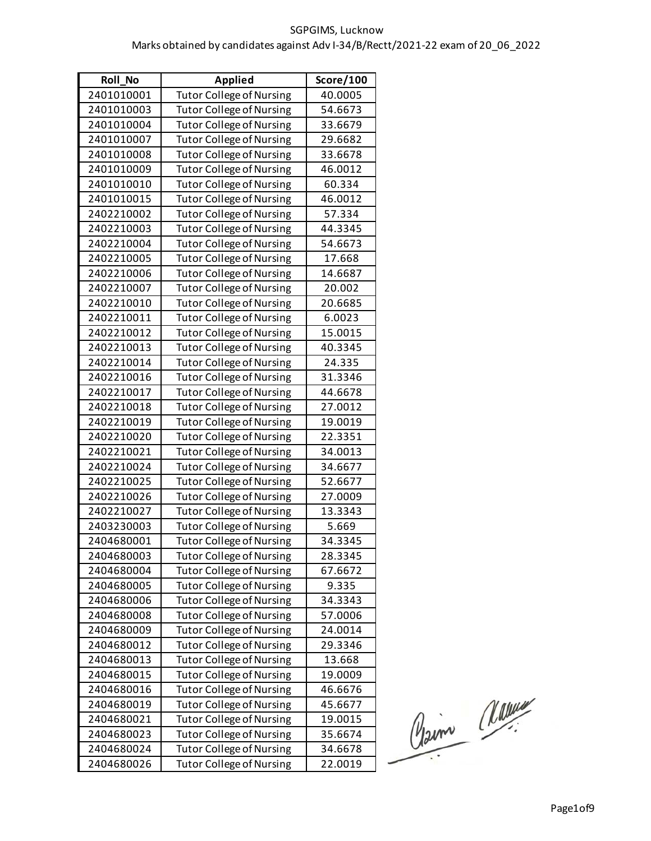| <b>Roll No</b> | <b>Applied</b>                  | <b>Score/100</b> |
|----------------|---------------------------------|------------------|
| 2401010001     | <b>Tutor College of Nursing</b> | 40.0005          |
| 2401010003     | <b>Tutor College of Nursing</b> | 54.6673          |
| 2401010004     | <b>Tutor College of Nursing</b> | 33.6679          |
| 2401010007     | <b>Tutor College of Nursing</b> | 29.6682          |
| 2401010008     | <b>Tutor College of Nursing</b> | 33.6678          |
| 2401010009     | <b>Tutor College of Nursing</b> | 46.0012          |
| 2401010010     | <b>Tutor College of Nursing</b> | 60.334           |
| 2401010015     | <b>Tutor College of Nursing</b> | 46.0012          |
| 2402210002     | <b>Tutor College of Nursing</b> | 57.334           |
| 2402210003     | <b>Tutor College of Nursing</b> | 44.3345          |
| 2402210004     | <b>Tutor College of Nursing</b> | 54.6673          |
| 2402210005     | <b>Tutor College of Nursing</b> | 17.668           |
| 2402210006     | <b>Tutor College of Nursing</b> | 14.6687          |
| 2402210007     | <b>Tutor College of Nursing</b> | 20.002           |
| 2402210010     | <b>Tutor College of Nursing</b> | 20.6685          |
| 2402210011     | <b>Tutor College of Nursing</b> | 6.0023           |
| 2402210012     | <b>Tutor College of Nursing</b> | 15.0015          |
| 2402210013     | <b>Tutor College of Nursing</b> | 40.3345          |
| 2402210014     | <b>Tutor College of Nursing</b> | 24.335           |
| 2402210016     | <b>Tutor College of Nursing</b> | 31.3346          |
| 2402210017     | <b>Tutor College of Nursing</b> | 44.6678          |
| 2402210018     | <b>Tutor College of Nursing</b> | 27.0012          |
| 2402210019     | <b>Tutor College of Nursing</b> | 19.0019          |
| 2402210020     | <b>Tutor College of Nursing</b> | 22.3351          |
| 2402210021     | <b>Tutor College of Nursing</b> | 34.0013          |
| 2402210024     | <b>Tutor College of Nursing</b> | 34.6677          |
| 2402210025     | <b>Tutor College of Nursing</b> | 52.6677          |
| 2402210026     | <b>Tutor College of Nursing</b> | 27.0009          |
| 2402210027     | <b>Tutor College of Nursing</b> | 13.3343          |
| 2403230003     | <b>Tutor College of Nursing</b> | 5.669            |
| 2404680001     | <b>Tutor College of Nursing</b> | 34.3345          |
| 2404680003     | <b>Tutor College of Nursing</b> | 28.3345          |
| 2404680004     | <b>Tutor College of Nursing</b> | 67.6672          |
| 2404680005     | <b>Tutor College of Nursing</b> | 9.335            |
| 2404680006     | <b>Tutor College of Nursing</b> | 34.3343          |
| 2404680008     | Tutor College of Nursing        | 57.0006          |
| 2404680009     | <b>Tutor College of Nursing</b> | 24.0014          |
| 2404680012     | <b>Tutor College of Nursing</b> | 29.3346          |
| 2404680013     | Tutor College of Nursing        | 13.668           |
| 2404680015     | <b>Tutor College of Nursing</b> | 19.0009          |
| 2404680016     | <b>Tutor College of Nursing</b> | 46.6676          |
| 2404680019     | Tutor College of Nursing        | 45.6677          |
| 2404680021     | <b>Tutor College of Nursing</b> | 19.0015          |
| 2404680023     | <b>Tutor College of Nursing</b> | 35.6674          |
| 2404680024     | <b>Tutor College of Nursing</b> | 34.6678          |
| 2404680026     | <b>Tutor College of Nursing</b> | 22.0019          |

Claim Marine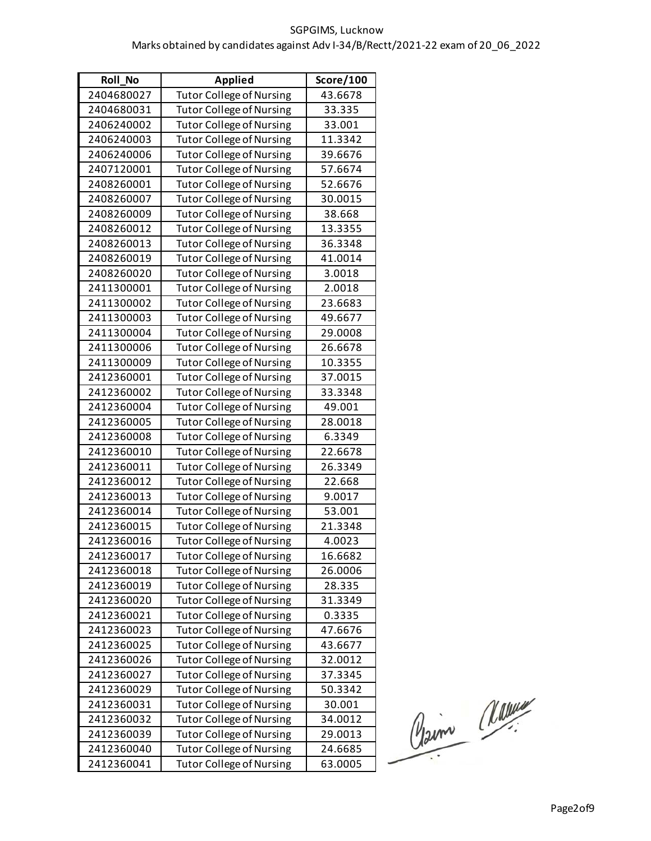| <b>Roll No</b> | <b>Applied</b>                  | <b>Score/100</b> |
|----------------|---------------------------------|------------------|
| 2404680027     | <b>Tutor College of Nursing</b> | 43.6678          |
| 2404680031     | <b>Tutor College of Nursing</b> | 33.335           |
| 2406240002     | <b>Tutor College of Nursing</b> | 33.001           |
| 2406240003     | <b>Tutor College of Nursing</b> | 11.3342          |
| 2406240006     | <b>Tutor College of Nursing</b> | 39.6676          |
| 2407120001     | <b>Tutor College of Nursing</b> | 57.6674          |
| 2408260001     | <b>Tutor College of Nursing</b> | 52.6676          |
| 2408260007     | <b>Tutor College of Nursing</b> | 30.0015          |
| 2408260009     | <b>Tutor College of Nursing</b> | 38.668           |
| 2408260012     | <b>Tutor College of Nursing</b> | 13.3355          |
| 2408260013     | <b>Tutor College of Nursing</b> | 36.3348          |
| 2408260019     | <b>Tutor College of Nursing</b> | 41.0014          |
| 2408260020     | <b>Tutor College of Nursing</b> | 3.0018           |
| 2411300001     | <b>Tutor College of Nursing</b> | 2.0018           |
| 2411300002     | <b>Tutor College of Nursing</b> | 23.6683          |
| 2411300003     | <b>Tutor College of Nursing</b> | 49.6677          |
| 2411300004     | <b>Tutor College of Nursing</b> | 29.0008          |
| 2411300006     | <b>Tutor College of Nursing</b> | 26.6678          |
| 2411300009     | <b>Tutor College of Nursing</b> | 10.3355          |
| 2412360001     | <b>Tutor College of Nursing</b> | 37.0015          |
| 2412360002     | <b>Tutor College of Nursing</b> | 33.3348          |
| 2412360004     | <b>Tutor College of Nursing</b> | 49.001           |
| 2412360005     | <b>Tutor College of Nursing</b> | 28.0018          |
| 2412360008     | <b>Tutor College of Nursing</b> | 6.3349           |
| 2412360010     | <b>Tutor College of Nursing</b> | 22.6678          |
| 2412360011     | <b>Tutor College of Nursing</b> | 26.3349          |
| 2412360012     | <b>Tutor College of Nursing</b> | 22.668           |
| 2412360013     | <b>Tutor College of Nursing</b> | 9.0017           |
| 2412360014     | <b>Tutor College of Nursing</b> | 53.001           |
| 2412360015     | <b>Tutor College of Nursing</b> | 21.3348          |
| 2412360016     | <b>Tutor College of Nursing</b> | 4.0023           |
| 2412360017     | <b>Tutor College of Nursing</b> | 16.6682          |
| 2412360018     | <b>Tutor College of Nursing</b> | 26.0006          |
| 2412360019     | <b>Tutor College of Nursing</b> | 28.335           |
| 2412360020     | <b>Tutor College of Nursing</b> | 31.3349          |
| 2412360021     | <b>Tutor College of Nursing</b> | 0.3335           |
| 2412360023     | <b>Tutor College of Nursing</b> | 47.6676          |
| 2412360025     | <b>Tutor College of Nursing</b> | 43.6677          |
| 2412360026     | <b>Tutor College of Nursing</b> | 32.0012          |
| 2412360027     | <b>Tutor College of Nursing</b> | 37.3345          |
| 2412360029     | <b>Tutor College of Nursing</b> | 50.3342          |
| 2412360031     | <b>Tutor College of Nursing</b> | 30.001           |
| 2412360032     | <b>Tutor College of Nursing</b> | 34.0012          |
| 2412360039     | <b>Tutor College of Nursing</b> | 29.0013          |
| 2412360040     | <b>Tutor College of Nursing</b> | 24.6685          |
| 2412360041     | <b>Tutor College of Nursing</b> | 63.0005          |

Claim Masseur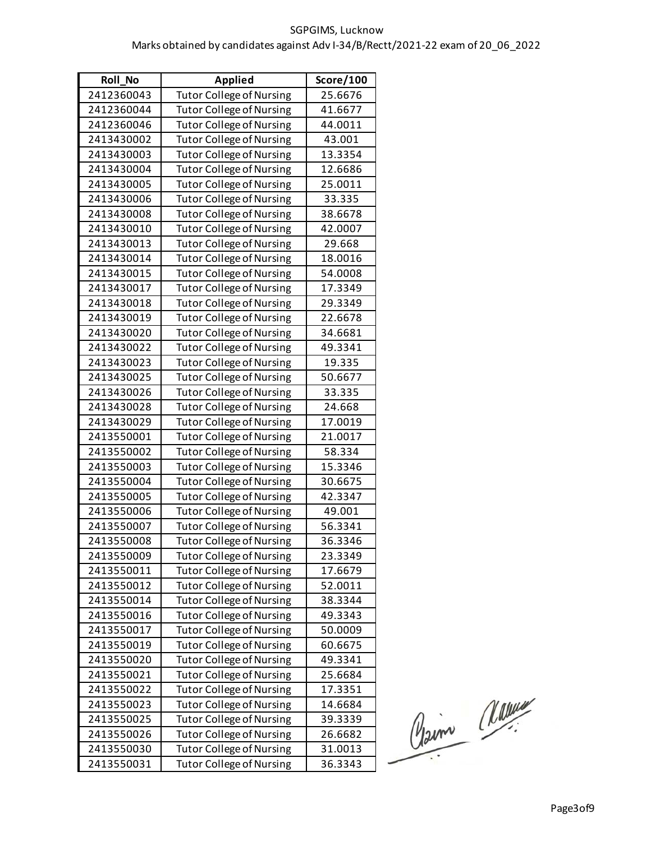| <b>Roll No</b> | <b>Applied</b>                  | Score/100 |
|----------------|---------------------------------|-----------|
| 2412360043     | <b>Tutor College of Nursing</b> | 25.6676   |
| 2412360044     | <b>Tutor College of Nursing</b> | 41.6677   |
| 2412360046     | <b>Tutor College of Nursing</b> | 44.0011   |
| 2413430002     | <b>Tutor College of Nursing</b> | 43.001    |
| 2413430003     | <b>Tutor College of Nursing</b> | 13.3354   |
| 2413430004     | <b>Tutor College of Nursing</b> | 12.6686   |
| 2413430005     | <b>Tutor College of Nursing</b> | 25.0011   |
| 2413430006     | <b>Tutor College of Nursing</b> | 33.335    |
| 2413430008     | <b>Tutor College of Nursing</b> | 38.6678   |
| 2413430010     | <b>Tutor College of Nursing</b> | 42.0007   |
| 2413430013     | <b>Tutor College of Nursing</b> | 29.668    |
| 2413430014     | <b>Tutor College of Nursing</b> | 18.0016   |
| 2413430015     | <b>Tutor College of Nursing</b> | 54.0008   |
| 2413430017     | <b>Tutor College of Nursing</b> | 17.3349   |
| 2413430018     | <b>Tutor College of Nursing</b> | 29.3349   |
| 2413430019     | <b>Tutor College of Nursing</b> | 22.6678   |
| 2413430020     | <b>Tutor College of Nursing</b> | 34.6681   |
| 2413430022     | <b>Tutor College of Nursing</b> | 49.3341   |
| 2413430023     | <b>Tutor College of Nursing</b> | 19.335    |
| 2413430025     | <b>Tutor College of Nursing</b> | 50.6677   |
| 2413430026     | <b>Tutor College of Nursing</b> | 33.335    |
| 2413430028     | <b>Tutor College of Nursing</b> | 24.668    |
| 2413430029     | <b>Tutor College of Nursing</b> | 17.0019   |
| 2413550001     | <b>Tutor College of Nursing</b> | 21.0017   |
| 2413550002     | <b>Tutor College of Nursing</b> | 58.334    |
| 2413550003     | <b>Tutor College of Nursing</b> | 15.3346   |
| 2413550004     | <b>Tutor College of Nursing</b> | 30.6675   |
| 2413550005     | <b>Tutor College of Nursing</b> | 42.3347   |
| 2413550006     | <b>Tutor College of Nursing</b> | 49.001    |
| 2413550007     | <b>Tutor College of Nursing</b> | 56.3341   |
| 2413550008     | <b>Tutor College of Nursing</b> | 36.3346   |
| 2413550009     | <b>Tutor College of Nursing</b> | 23.3349   |
| 2413550011     | <b>Tutor College of Nursing</b> | 17.6679   |
| 2413550012     | <b>Tutor College of Nursing</b> | 52.0011   |
| 2413550014     | <b>Tutor College of Nursing</b> | 38.3344   |
| 2413550016     | <b>Tutor College of Nursing</b> | 49.3343   |
| 2413550017     | <b>Tutor College of Nursing</b> | 50.0009   |
| 2413550019     | <b>Tutor College of Nursing</b> | 60.6675   |
| 2413550020     | <b>Tutor College of Nursing</b> | 49.3341   |
| 2413550021     | <b>Tutor College of Nursing</b> | 25.6684   |
| 2413550022     | <b>Tutor College of Nursing</b> | 17.3351   |
| 2413550023     | Tutor College of Nursing        | 14.6684   |
| 2413550025     | <b>Tutor College of Nursing</b> | 39.3339   |
| 2413550026     | <b>Tutor College of Nursing</b> | 26.6682   |
| 2413550030     | <b>Tutor College of Nursing</b> | 31.0013   |
| 2413550031     | <b>Tutor College of Nursing</b> | 36.3343   |

Claim Marine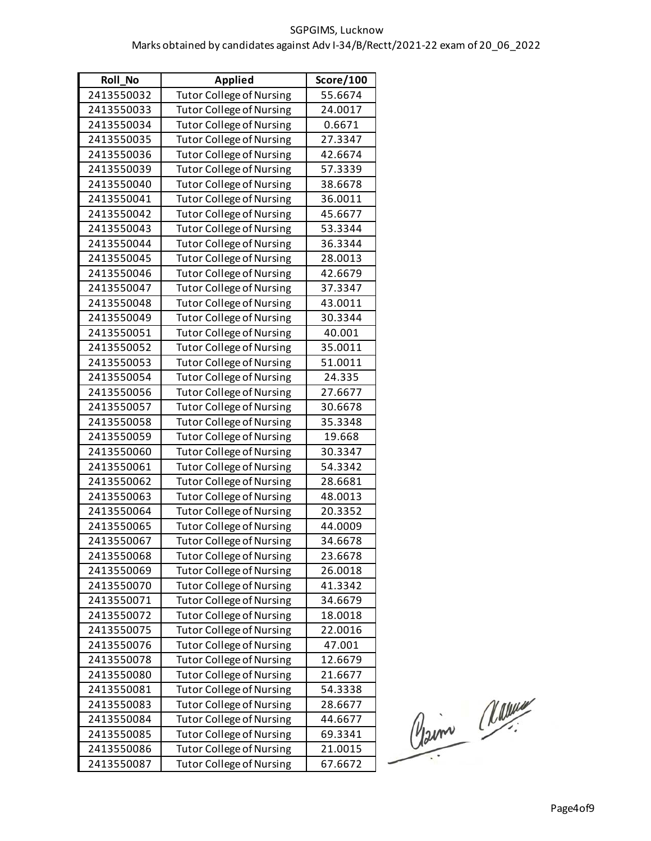| <b>Roll No</b> | <b>Applied</b>                  | <b>Score/100</b> |
|----------------|---------------------------------|------------------|
| 2413550032     | <b>Tutor College of Nursing</b> | 55.6674          |
| 2413550033     | <b>Tutor College of Nursing</b> | 24.0017          |
| 2413550034     | <b>Tutor College of Nursing</b> | 0.6671           |
| 2413550035     | <b>Tutor College of Nursing</b> | 27.3347          |
| 2413550036     | <b>Tutor College of Nursing</b> | 42.6674          |
| 2413550039     | <b>Tutor College of Nursing</b> | 57.3339          |
| 2413550040     | <b>Tutor College of Nursing</b> | 38.6678          |
| 2413550041     | <b>Tutor College of Nursing</b> | 36.0011          |
| 2413550042     | <b>Tutor College of Nursing</b> | 45.6677          |
| 2413550043     | <b>Tutor College of Nursing</b> | 53.3344          |
| 2413550044     | <b>Tutor College of Nursing</b> | 36.3344          |
| 2413550045     | <b>Tutor College of Nursing</b> | 28.0013          |
| 2413550046     | <b>Tutor College of Nursing</b> | 42.6679          |
| 2413550047     | <b>Tutor College of Nursing</b> | 37.3347          |
| 2413550048     | <b>Tutor College of Nursing</b> | 43.0011          |
| 2413550049     | <b>Tutor College of Nursing</b> | 30.3344          |
| 2413550051     | <b>Tutor College of Nursing</b> | 40.001           |
| 2413550052     | <b>Tutor College of Nursing</b> | 35.0011          |
| 2413550053     | <b>Tutor College of Nursing</b> | 51.0011          |
| 2413550054     | <b>Tutor College of Nursing</b> | 24.335           |
| 2413550056     | <b>Tutor College of Nursing</b> | 27.6677          |
| 2413550057     | <b>Tutor College of Nursing</b> | 30.6678          |
| 2413550058     | <b>Tutor College of Nursing</b> | 35.3348          |
| 2413550059     | <b>Tutor College of Nursing</b> | 19.668           |
| 2413550060     | <b>Tutor College of Nursing</b> | 30.3347          |
| 2413550061     | <b>Tutor College of Nursing</b> | 54.3342          |
| 2413550062     | <b>Tutor College of Nursing</b> | 28.6681          |
| 2413550063     | <b>Tutor College of Nursing</b> | 48.0013          |
| 2413550064     | <b>Tutor College of Nursing</b> | 20.3352          |
| 2413550065     | <b>Tutor College of Nursing</b> | 44.0009          |
| 2413550067     | <b>Tutor College of Nursing</b> | 34.6678          |
| 2413550068     | <b>Tutor College of Nursing</b> | 23.6678          |
| 2413550069     | <b>Tutor College of Nursing</b> | 26.0018          |
| 2413550070     | <b>Tutor College of Nursing</b> | 41.3342          |
| 2413550071     | <b>Tutor College of Nursing</b> | 34.6679          |
| 2413550072     | <b>Tutor College of Nursing</b> | 18.0018          |
| 2413550075     | <b>Tutor College of Nursing</b> | 22.0016          |
| 2413550076     | <b>Tutor College of Nursing</b> | 47.001           |
| 2413550078     | <b>Tutor College of Nursing</b> | 12.6679          |
| 2413550080     | <b>Tutor College of Nursing</b> | 21.6677          |
| 2413550081     | <b>Tutor College of Nursing</b> | 54.3338          |
| 2413550083     | <b>Tutor College of Nursing</b> | 28.6677          |
| 2413550084     | <b>Tutor College of Nursing</b> | 44.6677          |
| 2413550085     | <b>Tutor College of Nursing</b> | 69.3341          |
| 2413550086     | <b>Tutor College of Nursing</b> | 21.0015          |
| 2413550087     | <b>Tutor College of Nursing</b> | 67.6672          |

Claim Masseur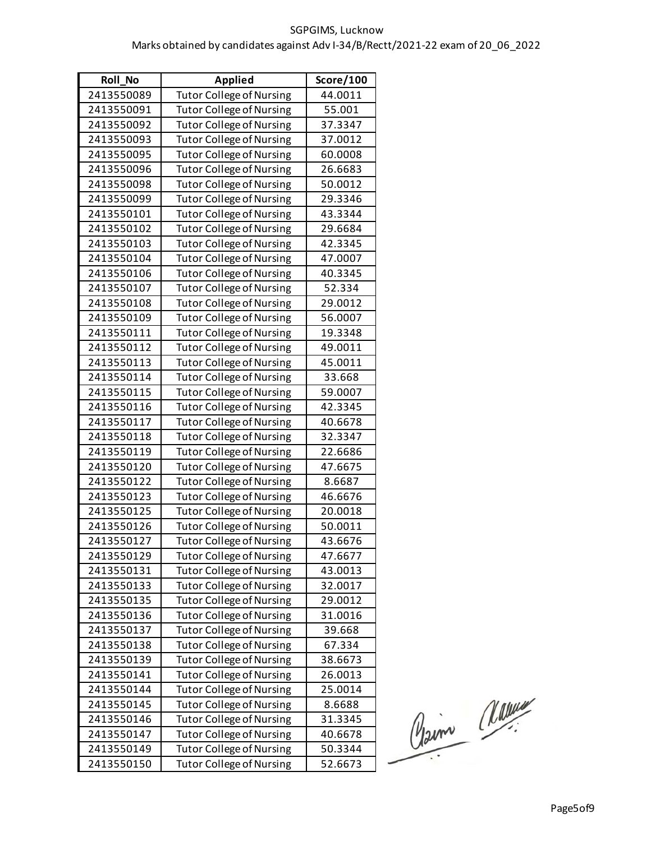| Roll_No    | <b>Applied</b>                  | Score/100 |
|------------|---------------------------------|-----------|
| 2413550089 | <b>Tutor College of Nursing</b> | 44.0011   |
| 2413550091 | <b>Tutor College of Nursing</b> | 55.001    |
| 2413550092 | <b>Tutor College of Nursing</b> | 37.3347   |
| 2413550093 | <b>Tutor College of Nursing</b> | 37.0012   |
| 2413550095 | <b>Tutor College of Nursing</b> | 60.0008   |
| 2413550096 | <b>Tutor College of Nursing</b> | 26.6683   |
| 2413550098 | <b>Tutor College of Nursing</b> | 50.0012   |
| 2413550099 | <b>Tutor College of Nursing</b> | 29.3346   |
| 2413550101 | <b>Tutor College of Nursing</b> | 43.3344   |
| 2413550102 | <b>Tutor College of Nursing</b> | 29.6684   |
| 2413550103 | <b>Tutor College of Nursing</b> | 42.3345   |
| 2413550104 | <b>Tutor College of Nursing</b> | 47.0007   |
| 2413550106 | <b>Tutor College of Nursing</b> | 40.3345   |
| 2413550107 | <b>Tutor College of Nursing</b> | 52.334    |
| 2413550108 | <b>Tutor College of Nursing</b> | 29.0012   |
| 2413550109 | <b>Tutor College of Nursing</b> | 56.0007   |
| 2413550111 | <b>Tutor College of Nursing</b> | 19.3348   |
| 2413550112 | <b>Tutor College of Nursing</b> | 49.0011   |
| 2413550113 | <b>Tutor College of Nursing</b> | 45.0011   |
| 2413550114 | <b>Tutor College of Nursing</b> | 33.668    |
| 2413550115 | <b>Tutor College of Nursing</b> | 59.0007   |
| 2413550116 | <b>Tutor College of Nursing</b> | 42.3345   |
| 2413550117 | <b>Tutor College of Nursing</b> | 40.6678   |
| 2413550118 | <b>Tutor College of Nursing</b> | 32.3347   |
| 2413550119 | <b>Tutor College of Nursing</b> | 22.6686   |
| 2413550120 | <b>Tutor College of Nursing</b> | 47.6675   |
| 2413550122 | <b>Tutor College of Nursing</b> | 8.6687    |
| 2413550123 | <b>Tutor College of Nursing</b> | 46.6676   |
| 2413550125 | <b>Tutor College of Nursing</b> | 20.0018   |
| 2413550126 | <b>Tutor College of Nursing</b> | 50.0011   |
| 2413550127 | <b>Tutor College of Nursing</b> | 43.6676   |
| 2413550129 | <b>Tutor College of Nursing</b> | 47.6677   |
| 2413550131 | <b>Tutor College of Nursing</b> | 43.0013   |
| 2413550133 | <b>Tutor College of Nursing</b> | 32.0017   |
| 2413550135 | <b>Tutor College of Nursing</b> | 29.0012   |
| 2413550136 | <b>Tutor College of Nursing</b> | 31.0016   |
| 2413550137 | <b>Tutor College of Nursing</b> | 39.668    |
| 2413550138 | <b>Tutor College of Nursing</b> | 67.334    |
| 2413550139 | <b>Tutor College of Nursing</b> | 38.6673   |
| 2413550141 | <b>Tutor College of Nursing</b> | 26.0013   |
| 2413550144 | <b>Tutor College of Nursing</b> | 25.0014   |
| 2413550145 | <b>Tutor College of Nursing</b> | 8.6688    |
| 2413550146 | <b>Tutor College of Nursing</b> | 31.3345   |
| 2413550147 | <b>Tutor College of Nursing</b> | 40.6678   |
| 2413550149 | <b>Tutor College of Nursing</b> | 50.3344   |
| 2413550150 | <b>Tutor College of Nursing</b> | 52.6673   |

Claim Masseur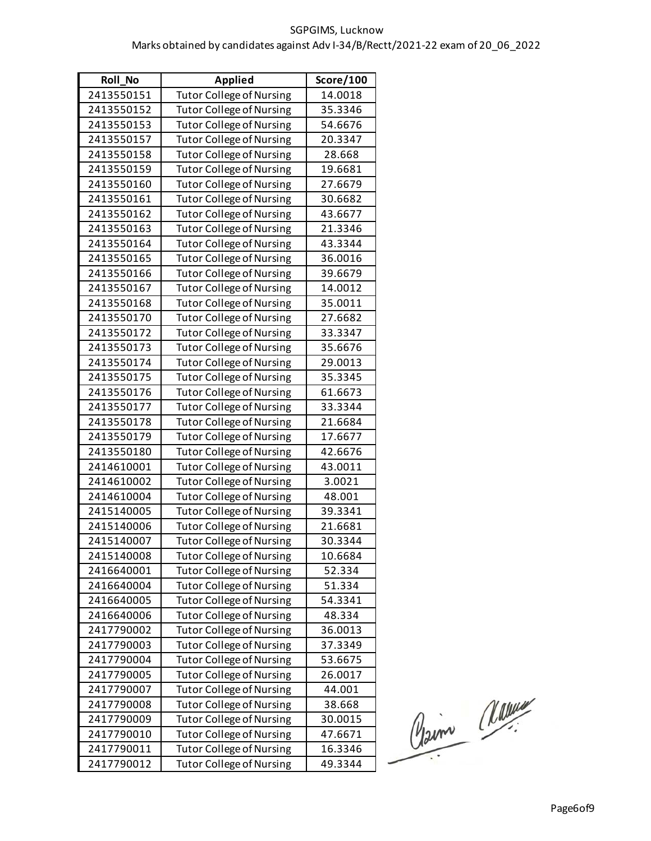| <b>Roll No</b> | <b>Applied</b>                  | Score/100 |
|----------------|---------------------------------|-----------|
| 2413550151     | <b>Tutor College of Nursing</b> | 14.0018   |
| 2413550152     | <b>Tutor College of Nursing</b> | 35.3346   |
| 2413550153     | <b>Tutor College of Nursing</b> | 54.6676   |
| 2413550157     | <b>Tutor College of Nursing</b> | 20.3347   |
| 2413550158     | <b>Tutor College of Nursing</b> | 28.668    |
| 2413550159     | <b>Tutor College of Nursing</b> | 19.6681   |
| 2413550160     | <b>Tutor College of Nursing</b> | 27.6679   |
| 2413550161     | <b>Tutor College of Nursing</b> | 30.6682   |
| 2413550162     | <b>Tutor College of Nursing</b> | 43.6677   |
| 2413550163     | <b>Tutor College of Nursing</b> | 21.3346   |
| 2413550164     | <b>Tutor College of Nursing</b> | 43.3344   |
| 2413550165     | <b>Tutor College of Nursing</b> | 36.0016   |
| 2413550166     | <b>Tutor College of Nursing</b> | 39.6679   |
| 2413550167     | <b>Tutor College of Nursing</b> | 14.0012   |
| 2413550168     | <b>Tutor College of Nursing</b> | 35.0011   |
| 2413550170     | <b>Tutor College of Nursing</b> | 27.6682   |
| 2413550172     | <b>Tutor College of Nursing</b> | 33.3347   |
| 2413550173     | <b>Tutor College of Nursing</b> | 35.6676   |
| 2413550174     | <b>Tutor College of Nursing</b> | 29.0013   |
| 2413550175     | <b>Tutor College of Nursing</b> | 35.3345   |
| 2413550176     | <b>Tutor College of Nursing</b> | 61.6673   |
| 2413550177     | <b>Tutor College of Nursing</b> | 33.3344   |
| 2413550178     | <b>Tutor College of Nursing</b> | 21.6684   |
| 2413550179     | <b>Tutor College of Nursing</b> | 17.6677   |
| 2413550180     | <b>Tutor College of Nursing</b> | 42.6676   |
| 2414610001     | <b>Tutor College of Nursing</b> | 43.0011   |
| 2414610002     | <b>Tutor College of Nursing</b> | 3.0021    |
| 2414610004     | <b>Tutor College of Nursing</b> | 48.001    |
| 2415140005     | <b>Tutor College of Nursing</b> | 39.3341   |
| 2415140006     | <b>Tutor College of Nursing</b> | 21.6681   |
| 2415140007     | <b>Tutor College of Nursing</b> | 30.3344   |
| 2415140008     | <b>Tutor College of Nursing</b> | 10.6684   |
| 2416640001     | <b>Tutor College of Nursing</b> | 52.334    |
| 2416640004     | <b>Tutor College of Nursing</b> | 51.334    |
| 2416640005     | <b>Tutor College of Nursing</b> | 54.3341   |
| 2416640006     | <b>Tutor College of Nursing</b> | 48.334    |
| 2417790002     | <b>Tutor College of Nursing</b> | 36.0013   |
| 2417790003     | <b>Tutor College of Nursing</b> | 37.3349   |
| 2417790004     | <b>Tutor College of Nursing</b> | 53.6675   |
| 2417790005     | <b>Tutor College of Nursing</b> | 26.0017   |
| 2417790007     | <b>Tutor College of Nursing</b> | 44.001    |
| 2417790008     | <b>Tutor College of Nursing</b> | 38.668    |
| 2417790009     | <b>Tutor College of Nursing</b> | 30.0015   |
| 2417790010     | <b>Tutor College of Nursing</b> | 47.6671   |
| 2417790011     | <b>Tutor College of Nursing</b> | 16.3346   |
| 2417790012     | <b>Tutor College of Nursing</b> | 49.3344   |

Pain Marie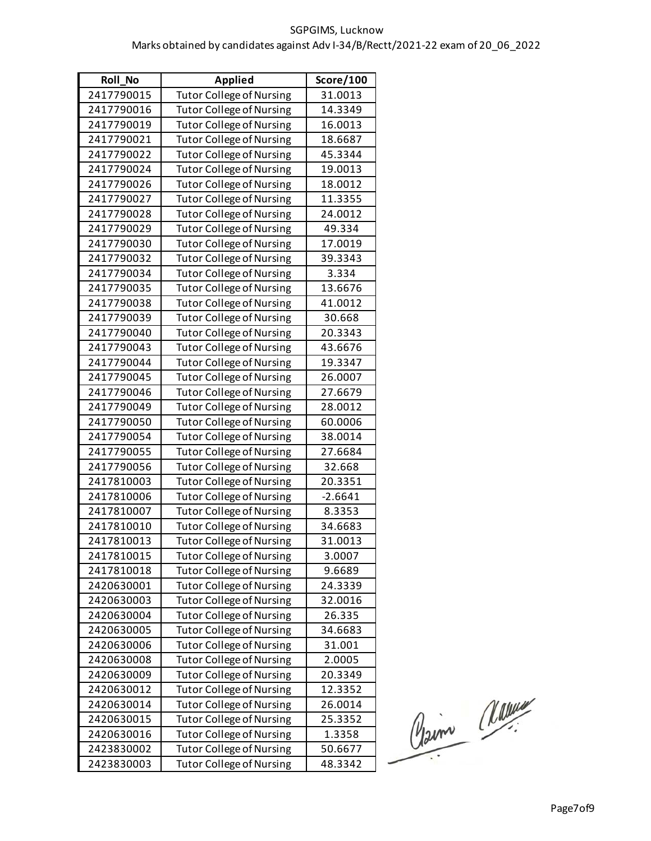| <b>Roll No</b> | <b>Applied</b>                  | <b>Score/100</b> |
|----------------|---------------------------------|------------------|
| 2417790015     | <b>Tutor College of Nursing</b> | 31.0013          |
| 2417790016     | <b>Tutor College of Nursing</b> | 14.3349          |
| 2417790019     | <b>Tutor College of Nursing</b> | 16.0013          |
| 2417790021     | <b>Tutor College of Nursing</b> | 18.6687          |
| 2417790022     | <b>Tutor College of Nursing</b> | 45.3344          |
| 2417790024     | <b>Tutor College of Nursing</b> | 19.0013          |
| 2417790026     | <b>Tutor College of Nursing</b> | 18.0012          |
| 2417790027     | <b>Tutor College of Nursing</b> | 11.3355          |
| 2417790028     | <b>Tutor College of Nursing</b> | 24.0012          |
| 2417790029     | <b>Tutor College of Nursing</b> | 49.334           |
| 2417790030     | <b>Tutor College of Nursing</b> | 17.0019          |
| 2417790032     | <b>Tutor College of Nursing</b> | 39.3343          |
| 2417790034     | <b>Tutor College of Nursing</b> | 3.334            |
| 2417790035     | <b>Tutor College of Nursing</b> | 13.6676          |
| 2417790038     | <b>Tutor College of Nursing</b> | 41.0012          |
| 2417790039     | <b>Tutor College of Nursing</b> | 30.668           |
| 2417790040     | <b>Tutor College of Nursing</b> | 20.3343          |
| 2417790043     | <b>Tutor College of Nursing</b> | 43.6676          |
| 2417790044     | <b>Tutor College of Nursing</b> | 19.3347          |
| 2417790045     | <b>Tutor College of Nursing</b> | 26.0007          |
| 2417790046     | <b>Tutor College of Nursing</b> | 27.6679          |
| 2417790049     | <b>Tutor College of Nursing</b> | 28.0012          |
| 2417790050     | <b>Tutor College of Nursing</b> | 60.0006          |
| 2417790054     | <b>Tutor College of Nursing</b> | 38.0014          |
| 2417790055     | <b>Tutor College of Nursing</b> | 27.6684          |
| 2417790056     | <b>Tutor College of Nursing</b> | 32.668           |
| 2417810003     | <b>Tutor College of Nursing</b> | 20.3351          |
| 2417810006     | <b>Tutor College of Nursing</b> | $-2.6641$        |
| 2417810007     | <b>Tutor College of Nursing</b> | 8.3353           |
| 2417810010     | <b>Tutor College of Nursing</b> | 34.6683          |
| 2417810013     | <b>Tutor College of Nursing</b> | 31.0013          |
| 2417810015     | <b>Tutor College of Nursing</b> | 3.0007           |
| 2417810018     | <b>Tutor College of Nursing</b> | 9.6689           |
| 2420630001     | <b>Tutor College of Nursing</b> | 24.3339          |
| 2420630003     | <b>Tutor College of Nursing</b> | 32.0016          |
| 2420630004     | <b>Tutor College of Nursing</b> | 26.335           |
| 2420630005     | <b>Tutor College of Nursing</b> | 34.6683          |
| 2420630006     | <b>Tutor College of Nursing</b> | 31.001           |
| 2420630008     | <b>Tutor College of Nursing</b> | 2.0005           |
| 2420630009     | <b>Tutor College of Nursing</b> | 20.3349          |
| 2420630012     | <b>Tutor College of Nursing</b> | 12.3352          |
| 2420630014     | Tutor College of Nursing        | 26.0014          |
| 2420630015     | <b>Tutor College of Nursing</b> | 25.3352          |
| 2420630016     | <b>Tutor College of Nursing</b> | 1.3358           |
| 2423830002     | <b>Tutor College of Nursing</b> | 50.6677          |
| 2423830003     | <b>Tutor College of Nursing</b> | 48.3342          |

Claim Masseur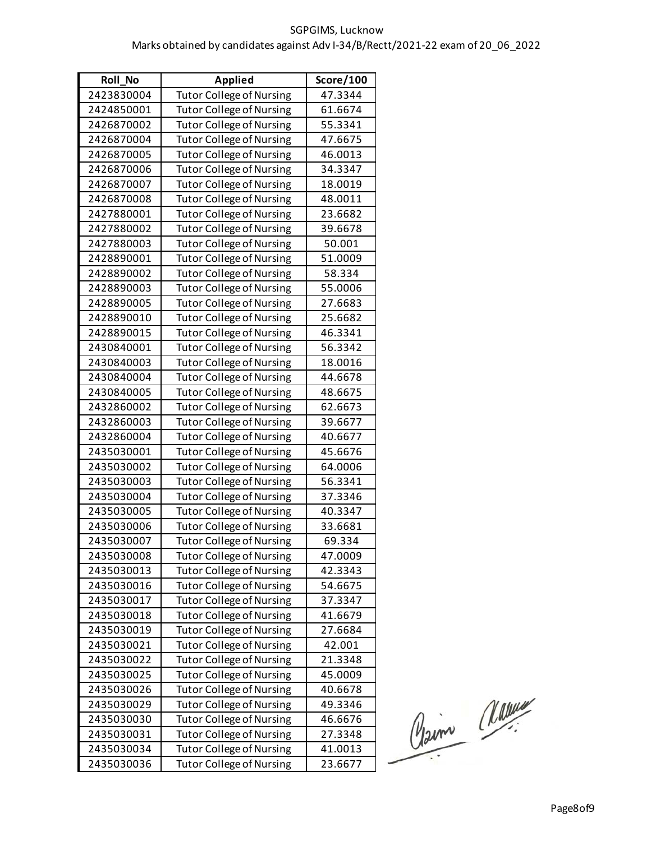| <b>Roll No</b> | <b>Applied</b>                  | Score/100 |
|----------------|---------------------------------|-----------|
| 2423830004     | <b>Tutor College of Nursing</b> | 47.3344   |
| 2424850001     | <b>Tutor College of Nursing</b> | 61.6674   |
| 2426870002     | <b>Tutor College of Nursing</b> | 55.3341   |
| 2426870004     | <b>Tutor College of Nursing</b> | 47.6675   |
| 2426870005     | <b>Tutor College of Nursing</b> | 46.0013   |
| 2426870006     | <b>Tutor College of Nursing</b> | 34.3347   |
| 2426870007     | <b>Tutor College of Nursing</b> | 18.0019   |
| 2426870008     | <b>Tutor College of Nursing</b> | 48.0011   |
| 2427880001     | <b>Tutor College of Nursing</b> | 23.6682   |
| 2427880002     | <b>Tutor College of Nursing</b> | 39.6678   |
| 2427880003     | <b>Tutor College of Nursing</b> | 50.001    |
| 2428890001     | <b>Tutor College of Nursing</b> | 51.0009   |
| 2428890002     | <b>Tutor College of Nursing</b> | 58.334    |
| 2428890003     | <b>Tutor College of Nursing</b> | 55.0006   |
| 2428890005     | <b>Tutor College of Nursing</b> | 27.6683   |
| 2428890010     | <b>Tutor College of Nursing</b> | 25.6682   |
| 2428890015     | <b>Tutor College of Nursing</b> | 46.3341   |
| 2430840001     | <b>Tutor College of Nursing</b> | 56.3342   |
| 2430840003     | <b>Tutor College of Nursing</b> | 18.0016   |
| 2430840004     | <b>Tutor College of Nursing</b> | 44.6678   |
| 2430840005     | <b>Tutor College of Nursing</b> | 48.6675   |
| 2432860002     | <b>Tutor College of Nursing</b> | 62.6673   |
| 2432860003     | <b>Tutor College of Nursing</b> | 39.6677   |
| 2432860004     | <b>Tutor College of Nursing</b> | 40.6677   |
| 2435030001     | <b>Tutor College of Nursing</b> | 45.6676   |
| 2435030002     | <b>Tutor College of Nursing</b> | 64.0006   |
| 2435030003     | <b>Tutor College of Nursing</b> | 56.3341   |
| 2435030004     | <b>Tutor College of Nursing</b> | 37.3346   |
| 2435030005     | <b>Tutor College of Nursing</b> | 40.3347   |
| 2435030006     | <b>Tutor College of Nursing</b> | 33.6681   |
| 2435030007     | <b>Tutor College of Nursing</b> | 69.334    |
| 2435030008     | <b>Tutor College of Nursing</b> | 47.0009   |
| 2435030013     | <b>Tutor College of Nursing</b> | 42.3343   |
| 2435030016     | <b>Tutor College of Nursing</b> | 54.6675   |
| 2435030017     | <b>Tutor College of Nursing</b> | 37.3347   |
| 2435030018     | <b>Tutor College of Nursing</b> | 41.6679   |
| 2435030019     | <b>Tutor College of Nursing</b> | 27.6684   |
| 2435030021     | <b>Tutor College of Nursing</b> | 42.001    |
| 2435030022     | <b>Tutor College of Nursing</b> | 21.3348   |
| 2435030025     | <b>Tutor College of Nursing</b> | 45.0009   |
| 2435030026     | <b>Tutor College of Nursing</b> | 40.6678   |
| 2435030029     | Tutor College of Nursing        | 49.3346   |
| 2435030030     | <b>Tutor College of Nursing</b> | 46.6676   |
| 2435030031     | <b>Tutor College of Nursing</b> | 27.3348   |
| 2435030034     | <b>Tutor College of Nursing</b> | 41.0013   |
| 2435030036     | <b>Tutor College of Nursing</b> | 23.6677   |

Claim Massier